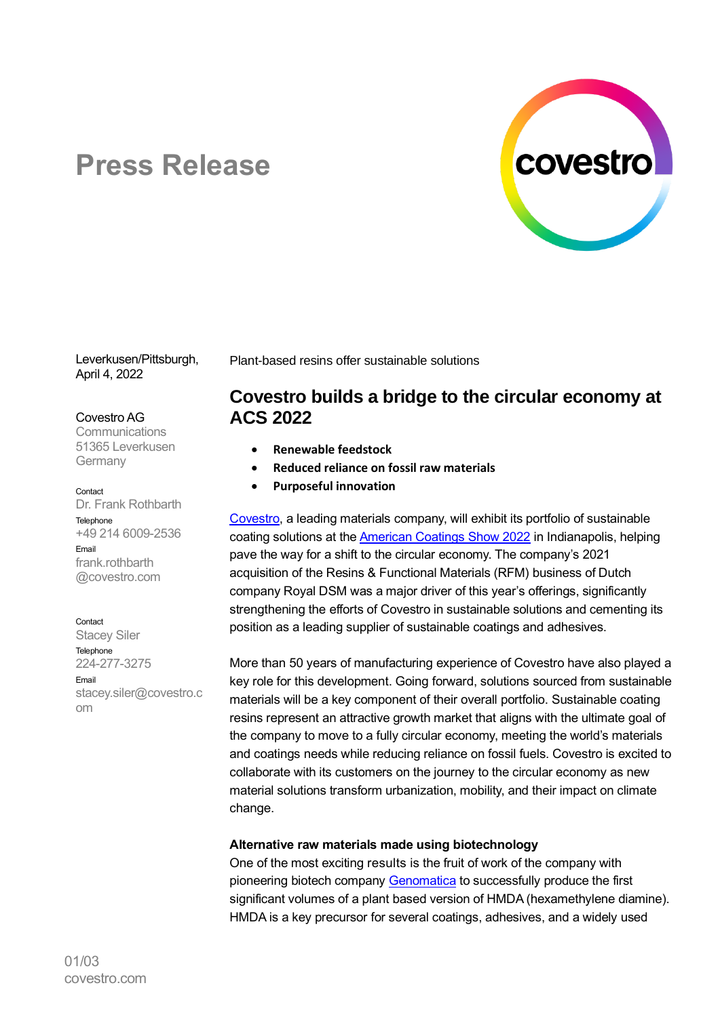

# **Press Release**

Leverkusen/Pittsburgh, April 4, 2022

#### Covestro AG

**Communications** 51365 Leverkusen **Germany** 

#### Contact

Dr. Frank Rothbarth Telephone +49 214 6009-2536 Email frank.rothbarth @covestro.com

Contact

Stacey Siler **Telephone** 224-277-3275 Email stacey.siler@covestro.c om

Plant-based resins offer sustainable solutions

# **Covestro builds a bridge to the circular economy at ACS 2022**

- **Renewable feedstock**
- **Reduced reliance on fossil raw materials**
- **Purposeful innovation**

[Covestro,](http://www.covestro.com/) a leading materials company, will exhibit its portfolio of sustainable coating solutions at th[e American Coatings Show 2022](https://www.solutions.covestro.com/en/digital-event-space/acs) in Indianapolis, helping pave the way for a shift to the circular economy. The company's 2021 acquisition of the Resins & Functional Materials (RFM) business of Dutch company Royal DSM was a major driver of this year's offerings, significantly strengthening the efforts of Covestro in sustainable solutions and cementing its position as a leading supplier of sustainable coatings and adhesives.

More than 50 years of manufacturing experience of Covestro have also played a key role for this development. Going forward, solutions sourced from sustainable materials will be a key component of their overall portfolio. Sustainable coating resins represent an attractive growth market that aligns with the ultimate goal of the company to move to a fully circular economy, meeting the world's materials and coatings needs while reducing reliance on fossil fuels. Covestro is excited to collaborate with its customers on the journey to the circular economy as new material solutions transform urbanization, mobility, and their impact on climate change.

### **Alternative raw materials made using biotechnology**

One of the most exciting results is the fruit of work of the company with pioneering biotech company [Genomatica](https://www.genomatica.com/) to successfully produce the first significant volumes of a plant based version of HMDA (hexamethylene diamine). HMDA is a key precursor for several coatings, adhesives, and a widely used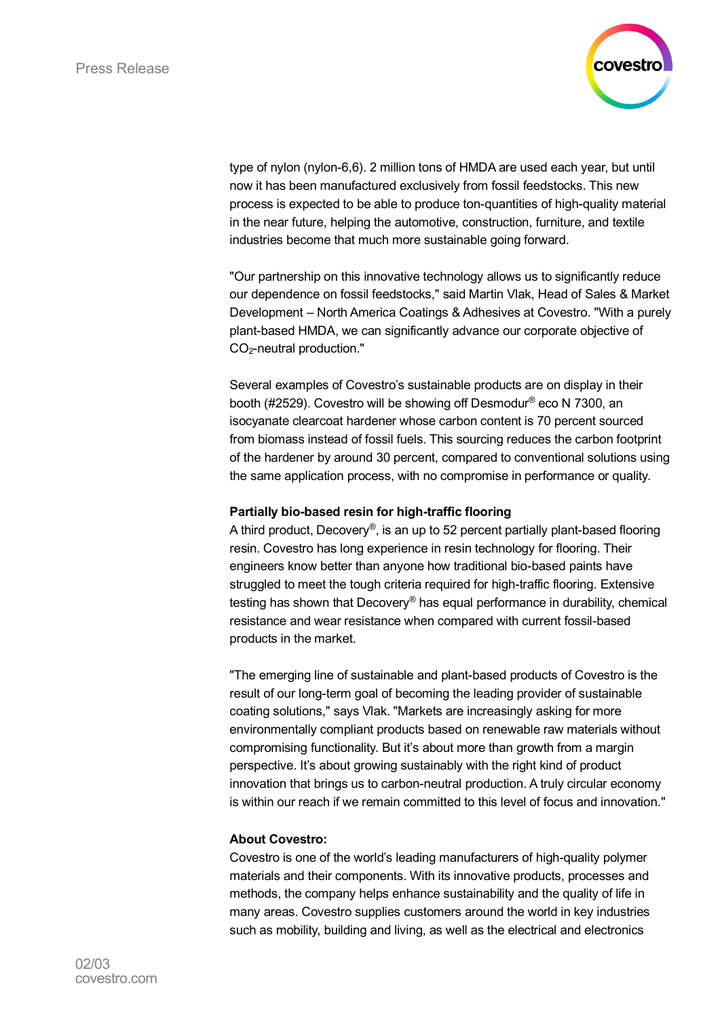

type of nylon (nylon-6,6). 2 million tons of HMDA are used each year, but until now it has been manufactured exclusively from fossil feedstocks. This new process is expected to be able to produce ton-quantities of high-quality material in the near future, helping the automotive, construction, furniture, and textile industries become that much more sustainable going forward.

"Our partnership on this innovative technology allows us to significantly reduce our dependence on fossil feedstocks," said Martin Vlak, Head of Sales & Market Development – North America Coatings & Adhesives at Covestro. "With a purely plant-based HMDA, we can significantly advance our corporate objective of CO<sub>2</sub>-neutral production."

Several examples of Covestro's sustainable products are on display in their booth (#2529). Covestro will be showing off Desmodur® eco N 7300, an isocyanate clearcoat hardener whose carbon content is 70 percent sourced from biomass instead of fossil fuels. This sourcing reduces the carbon footprint of the hardener by around 30 percent, compared to conventional solutions using the same application process, with no compromise in performance or quality.

### **Partially bio-based resin for high-traffic flooring**

A third product, Decovery®, is an up to 52 percent partially plant-based flooring resin. Covestro has long experience in resin technology for flooring. Their engineers know better than anyone how traditional bio-based paints have struggled to meet the tough criteria required for high-traffic flooring. Extensive testing has shown that Decovery® has equal performance in durability, chemical resistance and wear resistance when compared with current fossil-based products in the market.

"The emerging line of sustainable and plant-based products of Covestro is the result of our long-term goal of becoming the leading provider of sustainable coating solutions," says Vlak. "Markets are increasingly asking for more environmentally compliant products based on renewable raw materials without compromising functionality. But it's about more than growth from a margin perspective. It's about growing sustainably with the right kind of product innovation that brings us to carbon-neutral production. A truly circular economy is within our reach if we remain committed to this level of focus and innovation."

## **About Covestro:**

Covestro is one of the world's leading manufacturers of high-quality polymer materials and their components. With its innovative products, processes and methods, the company helps enhance sustainability and the quality of life in many areas. Covestro supplies customers around the world in key industries such as mobility, building and living, as well as the electrical and electronics